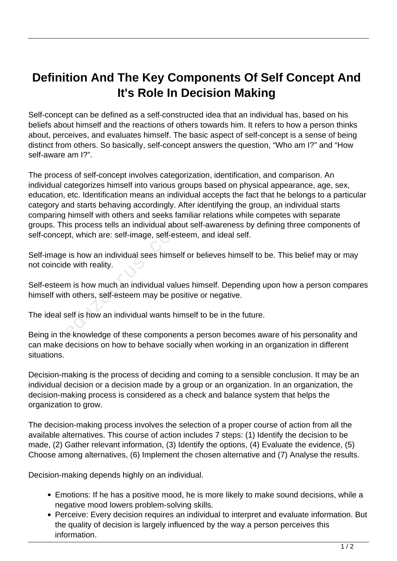## **Definition And The Key Components Of Self Concept And It's Role In Decision Making**

Self-concept can be defined as a self-constructed idea that an individual has, based on his beliefs about himself and the reactions of others towards him. It refers to how a person thinks about, perceives, and evaluates himself. The basic aspect of self-concept is a sense of being distinct from others. So basically, self-concept answers the question, "Who am I?" and "How self-aware am I?".

The process of self-concept involves categorization, identification, and comparison. An individual categorizes himself into various groups based on physical appearance, age, sex, education, etc. Identification means an individual accepts the fact that he belongs to a particular category and starts behaving accordingly. After identifying the group, an individual starts comparing himself with others and seeks familiar relations while competes with separate groups. This process tells an individual about self-awareness by defining three components of self-concept, which are: self-image, self-esteem, and ideal self.

Self-image is how an individual sees himself or believes himself to be. This belief may or may not coincide with reality.

Self-esteem is how much an individual values himself. Depending upon how a person compares himself with others, self-esteem may be positive or negative. is process tells an individual about, which are: self-image, self-este<br>
e is how an individual sees himself<br>
le with reality.<br>
m is how much an individual value<br>
th others, self-esteem may be pos<br>
self is how an individual

The ideal self is how an individual wants himself to be in the future.

Being in the knowledge of these components a person becomes aware of his personality and can make decisions on how to behave socially when working in an organization in different situations.

Decision-making is the process of deciding and coming to a sensible conclusion. It may be an individual decision or a decision made by a group or an organization. In an organization, the decision-making process is considered as a check and balance system that helps the organization to grow.

The decision-making process involves the selection of a proper course of action from all the available alternatives. This course of action includes 7 steps: (1) Identify the decision to be made, (2) Gather relevant information, (3) Identify the options, (4) Evaluate the evidence, (5) Choose among alternatives, (6) Implement the chosen alternative and (7) Analyse the results.

Decision-making depends highly on an individual.

- Emotions: If he has a positive mood, he is more likely to make sound decisions, while a negative mood lowers problem-solving skills.
- Perceive: Every decision requires an individual to interpret and evaluate information. But the quality of decision is largely influenced by the way a person perceives this information.